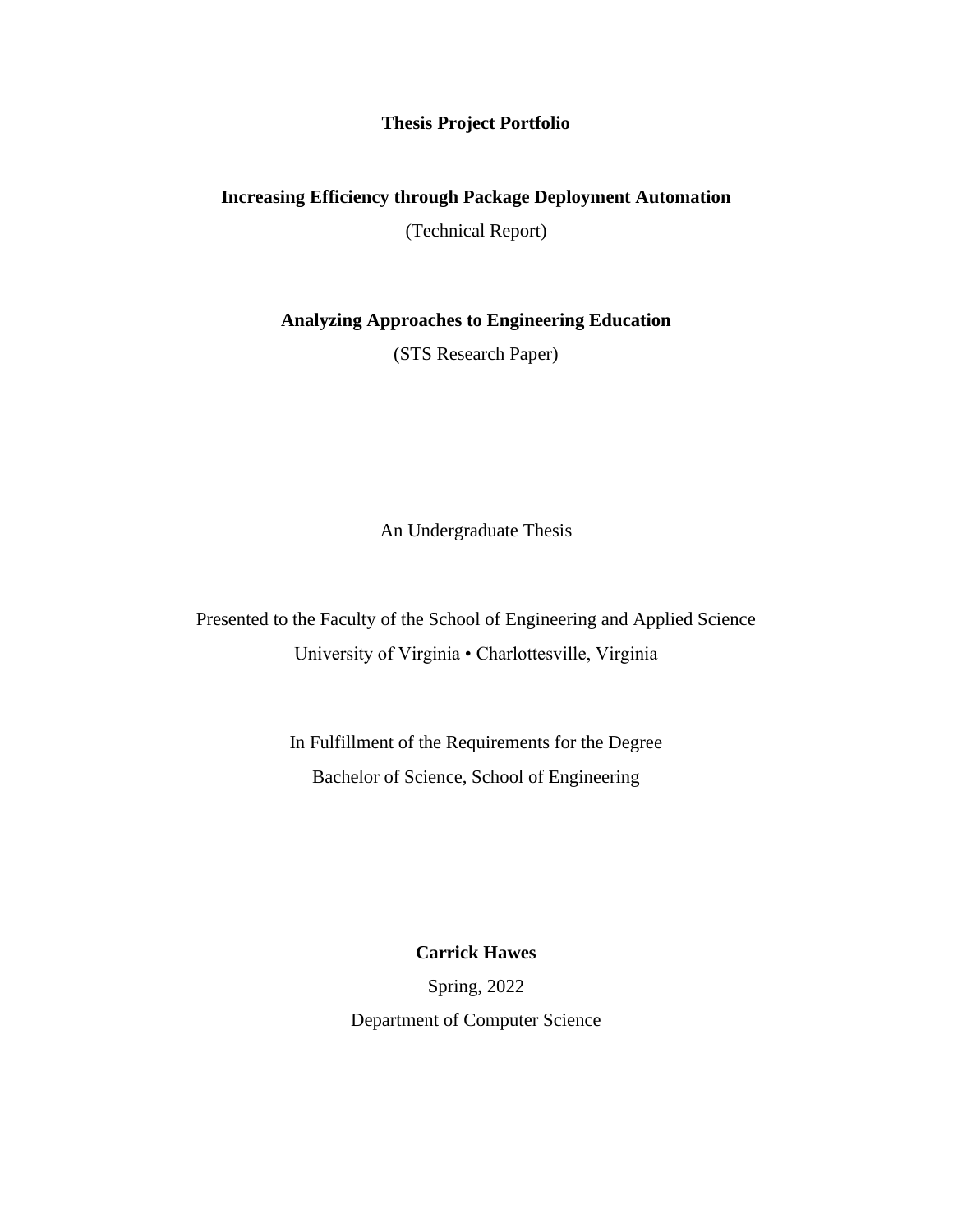## **Thesis Project Portfolio**

## **Increasing Efficiency through Package Deployment Automation**

(Technical Report)

**Analyzing Approaches to Engineering Education**

(STS Research Paper)

An Undergraduate Thesis

Presented to the Faculty of the School of Engineering and Applied Science University of Virginia • Charlottesville, Virginia

> In Fulfillment of the Requirements for the Degree Bachelor of Science, School of Engineering

> > **Carrick Hawes**

Spring, 2022 Department of Computer Science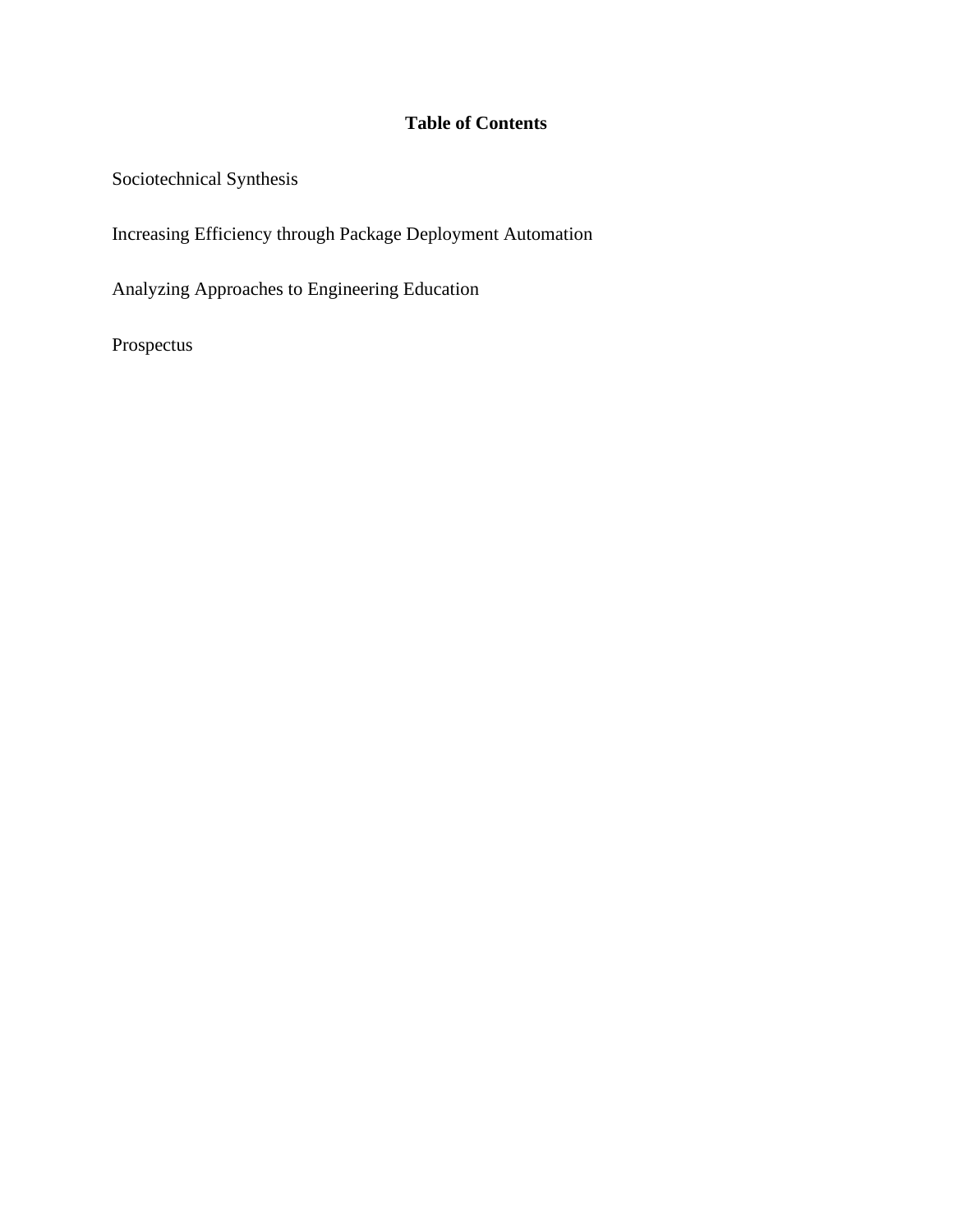## **Table of Contents**

Sociotechnical Synthesis

Increasing Efficiency through Package Deployment Automation

Analyzing Approaches to Engineering Education

Prospectus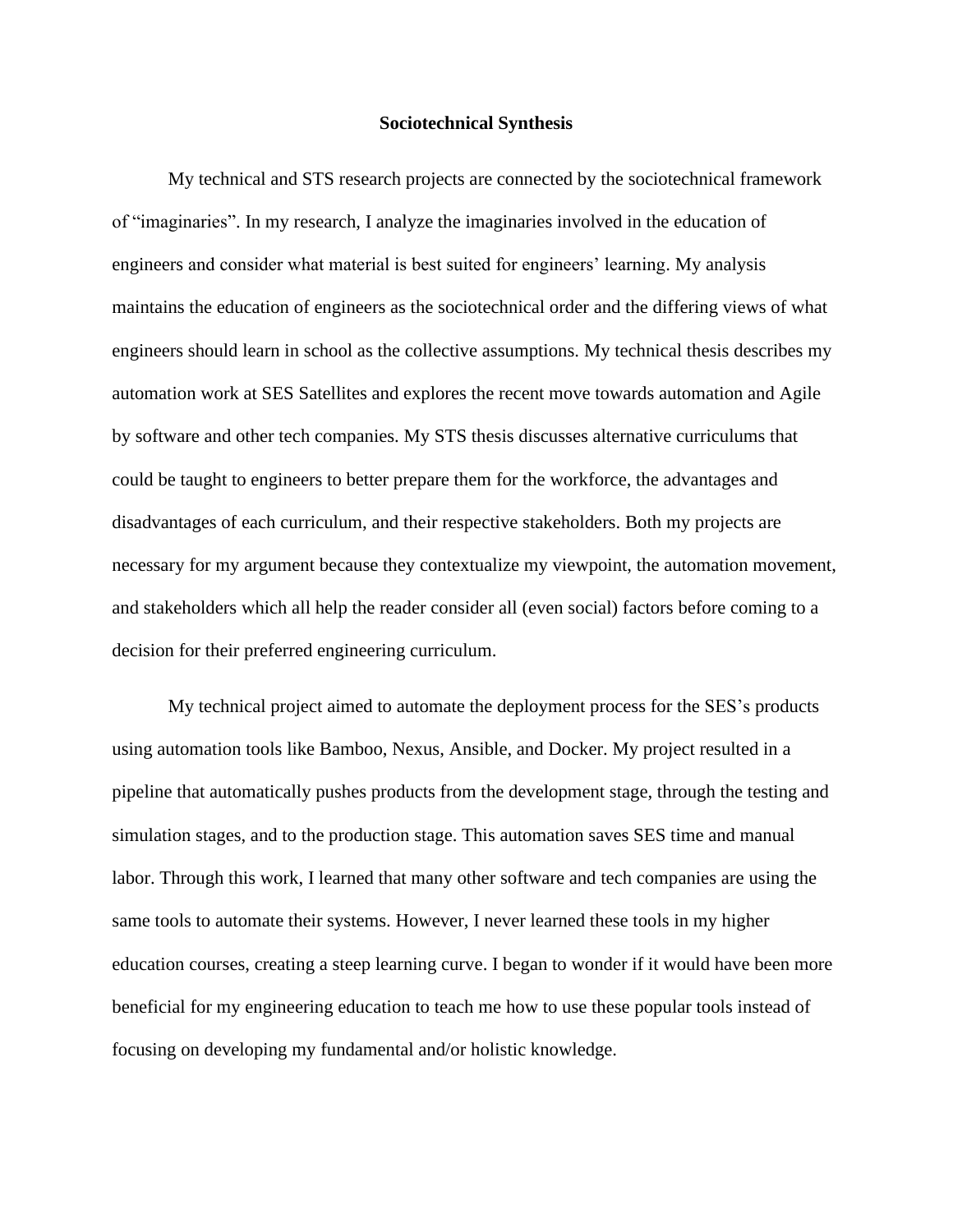## **Sociotechnical Synthesis**

My technical and STS research projects are connected by the sociotechnical framework of "imaginaries". In my research, I analyze the imaginaries involved in the education of engineers and consider what material is best suited for engineers' learning. My analysis maintains the education of engineers as the sociotechnical order and the differing views of what engineers should learn in school as the collective assumptions. My technical thesis describes my automation work at SES Satellites and explores the recent move towards automation and Agile by software and other tech companies. My STS thesis discusses alternative curriculums that could be taught to engineers to better prepare them for the workforce, the advantages and disadvantages of each curriculum, and their respective stakeholders. Both my projects are necessary for my argument because they contextualize my viewpoint, the automation movement, and stakeholders which all help the reader consider all (even social) factors before coming to a decision for their preferred engineering curriculum.

My technical project aimed to automate the deployment process for the SES's products using automation tools like Bamboo, Nexus, Ansible, and Docker. My project resulted in a pipeline that automatically pushes products from the development stage, through the testing and simulation stages, and to the production stage. This automation saves SES time and manual labor. Through this work, I learned that many other software and tech companies are using the same tools to automate their systems. However, I never learned these tools in my higher education courses, creating a steep learning curve. I began to wonder if it would have been more beneficial for my engineering education to teach me how to use these popular tools instead of focusing on developing my fundamental and/or holistic knowledge.